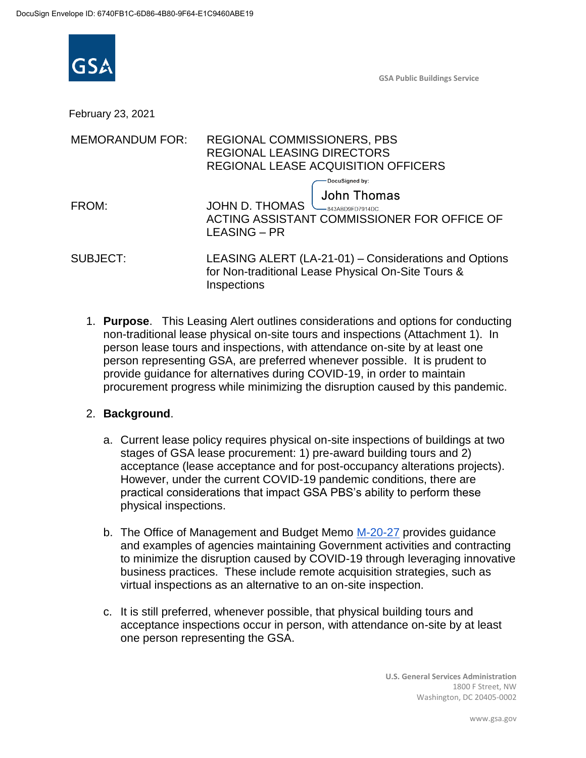

February 23, 2021

| <b>MEMORANDUM FOR:</b> | <b>REGIONAL COMMISSIONERS, PBS</b><br><b>REGIONAL LEASING DIRECTORS</b><br>REGIONAL LEASE ACQUISITION OFFICERS                                    |
|------------------------|---------------------------------------------------------------------------------------------------------------------------------------------------|
| FROM:                  | DocuSigned by:<br><b>John Thomas</b><br>JOHN D. THOMAS<br>-843ABD9FD7914DC.<br>ACTING ASSISTANT COMMISSIONER FOR OFFICE OF<br><b>LEASING – PR</b> |
| <b>SUBJECT:</b>        | LEASING ALERT (LA-21-01) - Considerations and Options<br>for Non-traditional Lease Physical On-Site Tours &<br>Inspections                        |

1. **Purpose**. This Leasing Alert outlines considerations and options for conducting non-traditional lease physical on-site tours and inspections (Attachment 1). In person lease tours and inspections, with attendance on-site by at least one person representing GSA, are preferred whenever possible. It is prudent to provide guidance for alternatives during COVID-19, in order to maintain procurement progress while minimizing the disruption caused by this pandemic.

## 2. **Background**.

- a. Current lease policy requires physical on-site inspections of buildings at two stages of GSA lease procurement: 1) pre-award building tours and 2) acceptance (lease acceptance and for post-occupancy alterations projects). However, under the current COVID-19 pandemic conditions, there are practical considerations that impact GSA PBS's ability to perform these physical inspections.
- b. The Office of Management and Budget Memo M-20-27 provides guidance and examples of agencies maintaining Government activities and contracting to minimize the disruption caused by COVID-19 through leveraging innovative business practices. These include remote acquisition strategies, such as virtual inspections as an alternative to an on-site inspection.
- c. It is still preferred, whenever possible, that physical building tours and acceptance inspections occur in person, with attendance on-site by at least one person representing the GSA.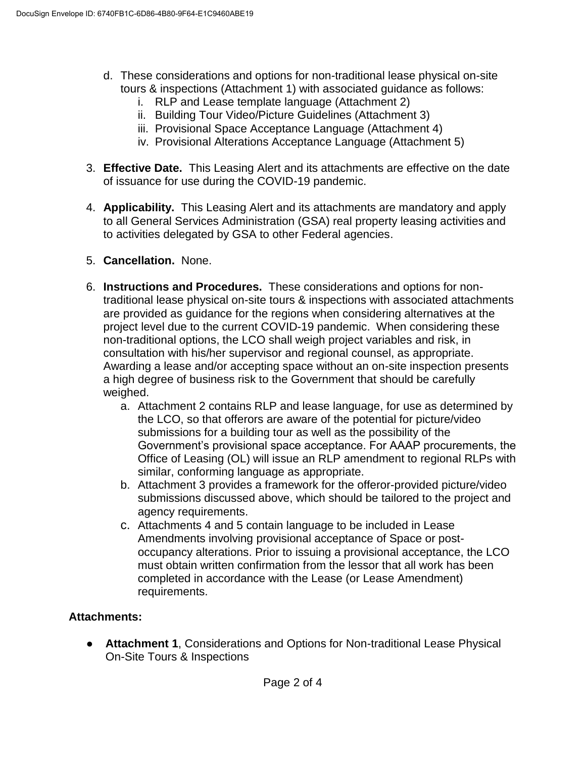- d. These considerations and options for non-traditional lease physical on-site tours & inspections (Attachment 1) with associated guidance as follows:
	- i. RLP and Lease template language (Attachment 2)
	- ii. Building Tour Video/Picture Guidelines (Attachment 3)
	- iii. Provisional Space Acceptance Language (Attachment 4)
	- iv. Provisional Alterations Acceptance Language (Attachment 5)
- 3. **Effective Date.** This Leasing Alert and its attachments are effective on the date of issuance for use during the COVID-19 pandemic.
- 4. **Applicability.** This Leasing Alert and its attachments are mandatory and apply to all General Services Administration (GSA) real property leasing activities and to activities delegated by GSA to other Federal agencies.
- 5. **Cancellation.** None.
- 6. **Instructions and Procedures.** These considerations and options for nontraditional lease physical on-site tours & inspections with associated attachments are provided as guidance for the regions when considering alternatives at the project level due to the current COVID-19 pandemic. When considering these non-traditional options, the LCO shall weigh project variables and risk, in consultation with his/her supervisor and regional counsel, as appropriate. Awarding a lease and/or accepting space without an on-site inspection presents a high degree of business risk to the Government that should be carefully weighed.
	- a. Attachment 2 contains RLP and lease language, for use as determined by the LCO, so that offerors are aware of the potential for picture/video submissions for a building tour as well as the possibility of the Government's provisional space acceptance. For AAAP procurements, the Office of Leasing (OL) will issue an RLP amendment to regional RLPs with similar, conforming language as appropriate.
	- b. Attachment 3 provides a framework for the offeror-provided picture/video submissions discussed above, which should be tailored to the project and agency requirements.
	- c. Attachments 4 and 5 contain language to be included in Lease Amendments involving provisional acceptance of Space or postoccupancy alterations. Prior to issuing a provisional acceptance, the LCO must obtain written confirmation from the lessor that all work has been completed in accordance with the Lease (or Lease Amendment) requirements.

# **Attachments:**

● **Attachment 1**, Considerations and Options for Non-traditional Lease Physical On-Site Tours & Inspections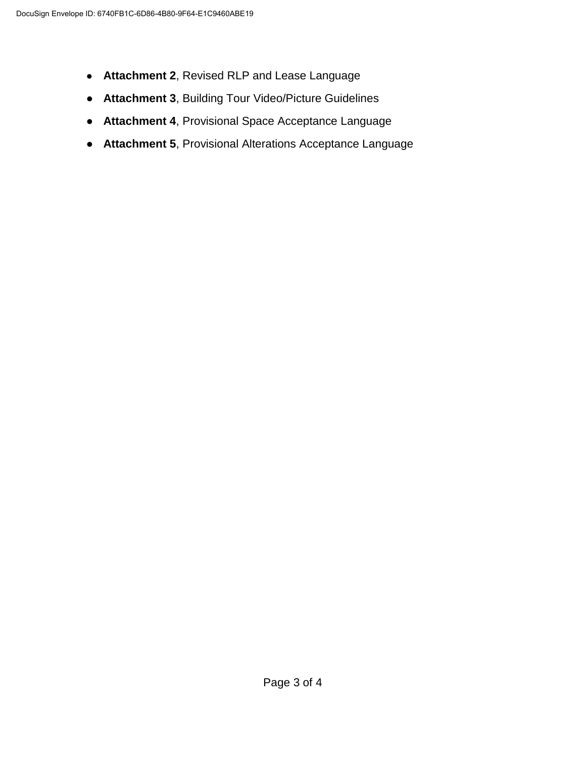- **Attachment 2**, Revised RLP and Lease Language
- **Attachment 3**, Building Tour Video/Picture Guidelines
- **Attachment 4**, Provisional Space Acceptance Language
- **Attachment 5**, Provisional Alterations Acceptance Language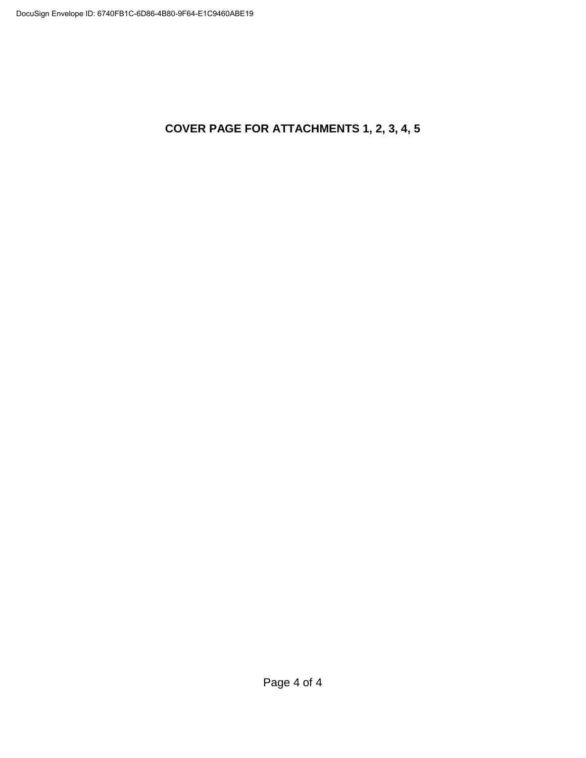**COVER PAGE FOR ATTACHMENTS 1, 2, 3, 4, 5**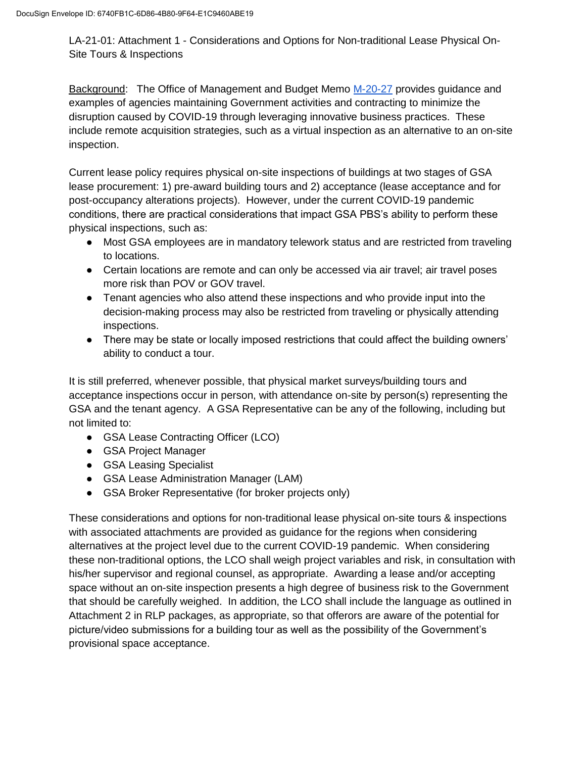LA-21-01: Attachment 1 - Considerations and Options for Non-traditional Lease Physical On-Site Tours & Inspections

Background: The Office of Management and Budget Memo M-20-27 provides guidance and examples of agencies maintaining Government activities and contracting to minimize the disruption caused by COVID-19 through leveraging innovative business practices. These include remote acquisition strategies, such as a virtual inspection as an alternative to an on-site inspection.

Current lease policy requires physical on-site inspections of buildings at two stages of GSA lease procurement: 1) pre-award building tours and 2) acceptance (lease acceptance and for post-occupancy alterations projects). However, under the current COVID-19 pandemic conditions, there are practical considerations that impact GSA PBS's ability to perform these physical inspections, such as:

- Most GSA employees are in mandatory telework status and are restricted from traveling to locations.
- Certain locations are remote and can only be accessed via air travel; air travel poses more risk than POV or GOV travel.
- Tenant agencies who also attend these inspections and who provide input into the decision-making process may also be restricted from traveling or physically attending inspections.
- There may be state or locally imposed restrictions that could affect the building owners' ability to conduct a tour.

It is still preferred, whenever possible, that physical market surveys/building tours and acceptance inspections occur in person, with attendance on-site by person(s) representing the GSA and the tenant agency. A GSA Representative can be any of the following, including but not limited to:

- GSA Lease Contracting Officer (LCO)
- GSA Project Manager
- GSA Leasing Specialist
- GSA Lease Administration Manager (LAM)
- GSA Broker Representative (for broker projects only)

These considerations and options for non-traditional lease physical on-site tours & inspections with associated attachments are provided as guidance for the regions when considering alternatives at the project level due to the current COVID-19 pandemic. When considering these non-traditional options, the LCO shall weigh project variables and risk, in consultation with his/her supervisor and regional counsel, as appropriate. Awarding a lease and/or accepting space without an on-site inspection presents a high degree of business risk to the Government that should be carefully weighed. In addition, the LCO shall include the language as outlined in Attachment 2 in RLP packages, as appropriate, so that offerors are aware of the potential for picture/video submissions for a building tour as well as the possibility of the Government's provisional space acceptance.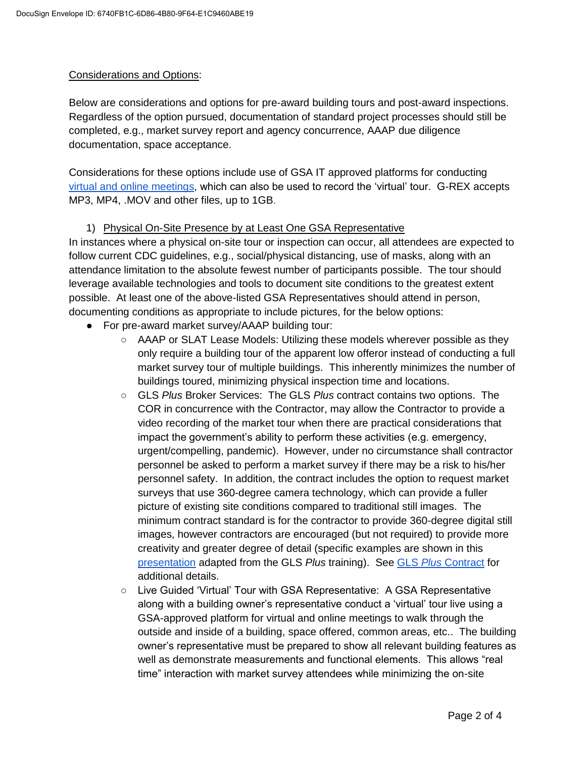## Considerations and Options:

Below are considerations and options for pre-award building tours and post-award inspections. Regardless of the option pursued, documentation of standard project processes should still be completed, e.g., market survey report and agency concurrence, AAAP due diligence documentation, space acceptance.

Considerations for these options include use of GSA IT approved platforms for conducting virtual and online meetings, which can also be used to record the 'virtual' tour. G-REX accepts MP3, MP4, .MOV and other files, up to 1GB.

### 1) Physical On-Site Presence by at Least One GSA Representative

In instances where a physical on-site tour or inspection can occur, all attendees are expected to follow current CDC guidelines, e.g., social/physical distancing, use of masks, along with an attendance limitation to the absolute fewest number of participants possible. The tour should leverage available technologies and tools to document site conditions to the greatest extent possible. At least one of the above-listed GSA Representatives should attend in person, documenting conditions as appropriate to include pictures, for the below options:

- For pre-award market survey/AAAP building tour:
	- AAAP or SLAT Lease Models: Utilizing these models wherever possible as they only require a building tour of the apparent low offeror instead of conducting a full market survey tour of multiple buildings. This inherently minimizes the number of buildings toured, minimizing physical inspection time and locations.
	- GLS *Plus* Broker Services: The GLS *Plus* contract contains two options. The COR in concurrence with the Contractor, may allow the Contractor to provide a video recording of the market tour when there are practical considerations that impact the government's ability to perform these activities (e.g. emergency, urgent/compelling, pandemic). However, under no circumstance shall contractor personnel be asked to perform a market survey if there may be a risk to his/her personnel safety. In addition, the contract includes the option to request market surveys that use 360-degree camera technology, which can provide a fuller picture of existing site conditions compared to traditional still images. The minimum contract standard is for the contractor to provide 360-degree digital still images, however contractors are encouraged (but not required) to provide more creativity and greater degree of detail (specific examples are shown in this presentation adapted from the GLS *Plus* training). See GLS *Plus* Contract for additional details.
	- Live Guided 'Virtual' Tour with GSA Representative: A GSA Representative along with a building owner's representative conduct a 'virtual' tour live using a GSA-approved platform for virtual and online meetings to walk through the outside and inside of a building, space offered, common areas, etc.. The building owner's representative must be prepared to show all relevant building features as well as demonstrate measurements and functional elements. This allows "real time" interaction with market survey attendees while minimizing the on-site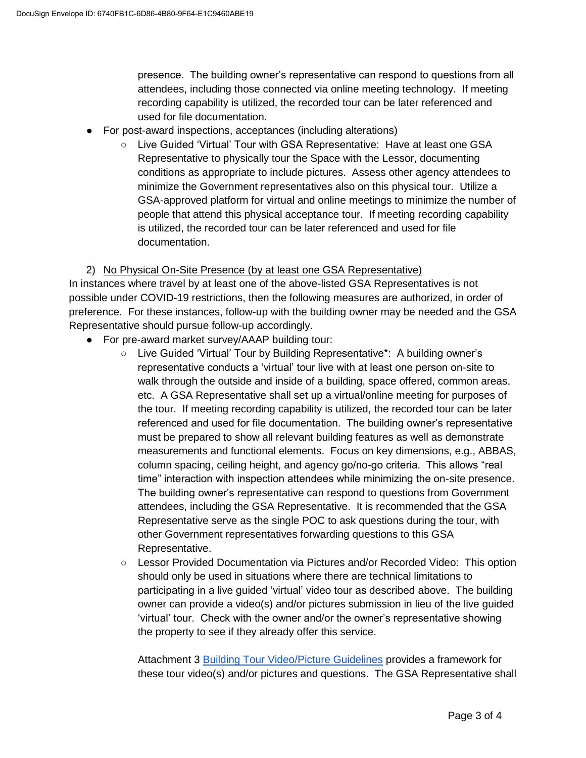presence. The building owner's representative can respond to questions from all attendees, including those connected via online meeting technology. If meeting recording capability is utilized, the recorded tour can be later referenced and used for file documentation.

- For post-award inspections, acceptances (including alterations)
	- Live Guided 'Virtual' Tour with GSA Representative: Have at least one GSA Representative to physically tour the Space with the Lessor, documenting conditions as appropriate to include pictures. Assess other agency attendees to minimize the Government representatives also on this physical tour. Utilize a GSA-approved platform for virtual and online meetings to minimize the number of people that attend this physical acceptance tour. If meeting recording capability is utilized, the recorded tour can be later referenced and used for file documentation.

## 2) No Physical On-Site Presence (by at least one GSA Representative)

In instances where travel by at least one of the above-listed GSA Representatives is not possible under COVID-19 restrictions, then the following measures are authorized, in order of preference. For these instances, follow-up with the building owner may be needed and the GSA Representative should pursue follow-up accordingly.

- For pre-award market survey/AAAP building tour:
	- Live Guided 'Virtual' Tour by Building Representative\*: A building owner's representative conducts a 'virtual' tour live with at least one person on-site to walk through the outside and inside of a building, space offered, common areas, etc. A GSA Representative shall set up a virtual/online meeting for purposes of the tour. If meeting recording capability is utilized, the recorded tour can be later referenced and used for file documentation. The building owner's representative must be prepared to show all relevant building features as well as demonstrate measurements and functional elements. Focus on key dimensions, e.g., ABBAS, column spacing, ceiling height, and agency go/no-go criteria. This allows "real time" interaction with inspection attendees while minimizing the on-site presence. The building owner's representative can respond to questions from Government attendees, including the GSA Representative. It is recommended that the GSA Representative serve as the single POC to ask questions during the tour, with other Government representatives forwarding questions to this GSA Representative.
	- Lessor Provided Documentation via Pictures and/or Recorded Video: This option should only be used in situations where there are technical limitations to participating in a live guided 'virtual' video tour as described above. The building owner can provide a video(s) and/or pictures submission in lieu of the live guided 'virtual' tour. Check with the owner and/or the owner's representative showing the property to see if they already offer this service.

Attachment 3 Building Tour Video/Picture Guidelines provides a framework for these tour video(s) and/or pictures and questions. The GSA Representative shall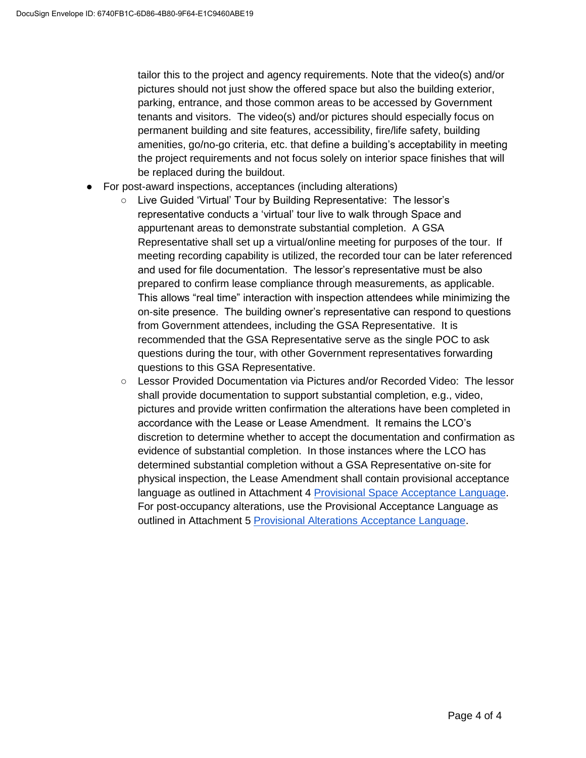tailor this to the project and agency requirements. Note that the video(s) and/or pictures should not just show the offered space but also the building exterior, parking, entrance, and those common areas to be accessed by Government tenants and visitors. The video(s) and/or pictures should especially focus on permanent building and site features, accessibility, fire/life safety, building amenities, go/no-go criteria, etc. that define a building's acceptability in meeting the project requirements and not focus solely on interior space finishes that will be replaced during the buildout.

- For post-award inspections, acceptances (including alterations)
	- Live Guided 'Virtual' Tour by Building Representative: The lessor's representative conducts a 'virtual' tour live to walk through Space and appurtenant areas to demonstrate substantial completion. A GSA Representative shall set up a virtual/online meeting for purposes of the tour. If meeting recording capability is utilized, the recorded tour can be later referenced and used for file documentation. The lessor's representative must be also prepared to confirm lease compliance through measurements, as applicable. This allows "real time" interaction with inspection attendees while minimizing the on-site presence. The building owner's representative can respond to questions from Government attendees, including the GSA Representative. It is recommended that the GSA Representative serve as the single POC to ask questions during the tour, with other Government representatives forwarding questions to this GSA Representative.
	- Lessor Provided Documentation via Pictures and/or Recorded Video: The lessor shall provide documentation to support substantial completion, e.g., video, pictures and provide written confirmation the alterations have been completed in accordance with the Lease or Lease Amendment. It remains the LCO's discretion to determine whether to accept the documentation and confirmation as evidence of substantial completion. In those instances where the LCO has determined substantial completion without a GSA Representative on-site for physical inspection, the Lease Amendment shall contain provisional acceptance language as outlined in Attachment 4 Provisional Space Acceptance Language. For post-occupancy alterations, use the Provisional Acceptance Language as outlined in Attachment 5 Provisional Alterations Acceptance Language.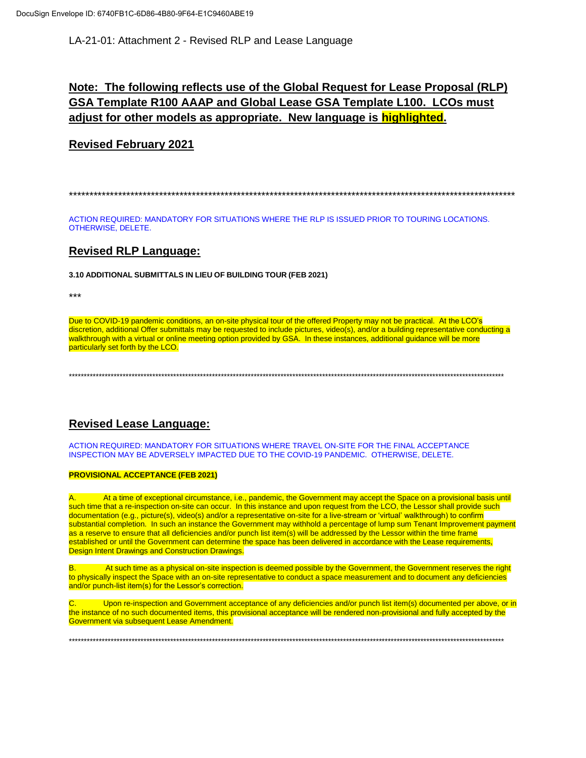LA-21-01: Attachment 2 - Revised RLP and Lease Language

# **Note: The following reflects use of the Global Request for Lease Proposal (RLP) GSA Template R100 AAAP and Global Lease GSA Template L100. LCOs must adjust for other models as appropriate. New language is highlighted.**

## **Revised February 2021**

\*\*\*\*\*\*\*\*\*\*\*\*\*\*\*\*\*\*\*\*\*\*\*\*\*\*\*\*\*\*\*\*\*\*\*\*\*\*\*\*\*\*\*\*\*\*\*\*\*\*\*\*\*\*\*\*\*\*\*\*\*\*\*\*\*\*\*\*\*\*\*\*\*\*\*\*\*\*\*\*\*\*\*\*\*\*\*\*\*\*\*\*\*\*\*\*\*\*\*\*\*\*\*\*\*\*\*\*\*

ACTION REQUIRED: MANDATORY FOR SITUATIONS WHERE THE RLP IS ISSUED PRIOR TO TOURING LOCATIONS. OTHERWISE, DELETE.

## **Revised RLP Language:**

**3.10 ADDITIONAL SUBMITTALS IN LIEU OF BUILDING TOUR (FEB 2021)**

\*\*\*

Due to COVID-19 pandemic conditions, an on-site physical tour of the offered Property may not be practical. At the LCO's discretion, additional Offer submittals may be requested to include pictures, video(s), and/or a building representative conducting a walkthrough with a virtual or online meeting option provided by GSA. In these instances, additional guidance will be more particularly set forth by the LCO.

\*\*\*\*\*\*\*\*\*\*\*\*\*\*\*\*\*\*\*\*\*\*\*\*\*\*\*\*\*\*\*\*\*\*\*\*\*\*\*\*\*\*\*\*\*\*\*\*\*\*\*\*\*\*\*\*\*\*\*\*\*\*\*\*\*\*\*\*\*\*\*\*\*\*\*\*\*\*\*\*\*\*\*\*\*\*\*\*\*\*\*\*\*\*\*\*\*\*\*\*\*\*\*\*\*\*\*\*\*\*\*\*\*\*\*\*\*\*\*\*\*\*\*\*\*\*\*\*\*\*\*\*\*\*\*\*\*\*\*\*\*\*\*\*\*\*

# **Revised Lease Language:**

ACTION REQUIRED: MANDATORY FOR SITUATIONS WHERE TRAVEL ON-SITE FOR THE FINAL ACCEPTANCE INSPECTION MAY BE ADVERSELY IMPACTED DUE TO THE COVID-19 PANDEMIC. OTHERWISE, DELETE.

#### **PROVISIONAL ACCEPTANCE (FEB 2021)**

At a time of exceptional circumstance, i.e., pandemic, the Government may accept the Space on a provisional basis until such time that a re-inspection on-site can occur. In this instance and upon request from the LCO, the Lessor shall provide such documentation (e.g., picture(s), video(s) and/or a representative on-site for a live-stream or 'virtual' walkthrough) to confirm substantial completion. In such an instance the Government may withhold a percentage of lump sum Tenant Improvement payment as a reserve to ensure that all deficiencies and/or punch list item(s) will be addressed by the Lessor within the time frame established or until the Government can determine the space has been delivered in accordance with the Lease requirements, Design Intent Drawings and Construction Drawings.

B. At such time as a physical on-site inspection is deemed possible by the Government, the Government reserves the right to physically inspect the Space with an on-site representative to conduct a space measurement and to document any deficiencies and/or punch-list item(s) for the Lessor's correction.

Upon re-inspection and Government acceptance of any deficiencies and/or punch list item(s) documented per above, or in the instance of no such documented items, this provisional acceptance will be rendered non-provisional and fully accepted by the Government via subsequent Lease Amendment.

\*\*\*\*\*\*\*\*\*\*\*\*\*\*\*\*\*\*\*\*\*\*\*\*\*\*\*\*\*\*\*\*\*\*\*\*\*\*\*\*\*\*\*\*\*\*\*\*\*\*\*\*\*\*\*\*\*\*\*\*\*\*\*\*\*\*\*\*\*\*\*\*\*\*\*\*\*\*\*\*\*\*\*\*\*\*\*\*\*\*\*\*\*\*\*\*\*\*\*\*\*\*\*\*\*\*\*\*\*\*\*\*\*\*\*\*\*\*\*\*\*\*\*\*\*\*\*\*\*\*\*\*\*\*\*\*\*\*\*\*\*\*\*\*\*\*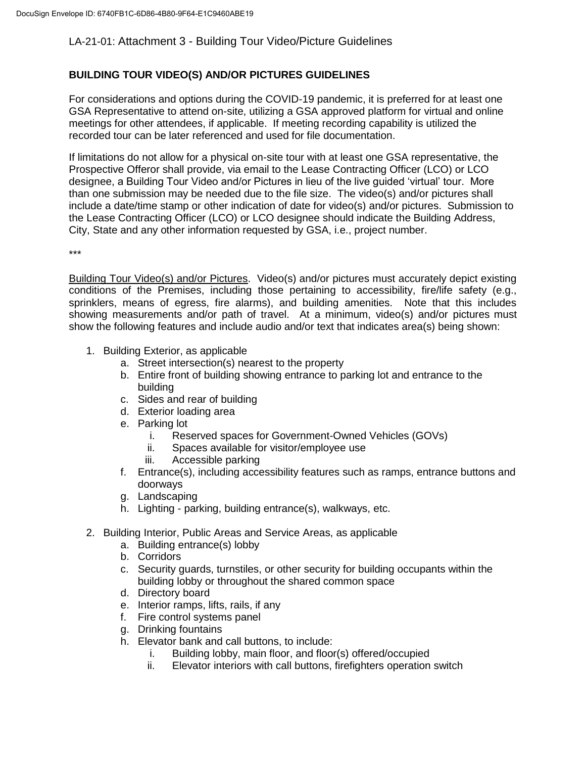## LA-21-01: Attachment 3 - Building Tour Video/Picture Guidelines

## **BUILDING TOUR VIDEO(S) AND/OR PICTURES GUIDELINES**

For considerations and options during the COVID-19 pandemic, it is preferred for at least one GSA Representative to attend on-site, utilizing a GSA approved platform for virtual and online meetings for other attendees, if applicable. If meeting recording capability is utilized the recorded tour can be later referenced and used for file documentation.

If limitations do not allow for a physical on-site tour with at least one GSA representative, the Prospective Offeror shall provide, via email to the Lease Contracting Officer (LCO) or LCO designee, a Building Tour Video and/or Pictures in lieu of the live guided 'virtual' tour. More than one submission may be needed due to the file size. The video(s) and/or pictures shall include a date/time stamp or other indication of date for video(s) and/or pictures. Submission to the Lease Contracting Officer (LCO) or LCO designee should indicate the Building Address, City, State and any other information requested by GSA, i.e., project number.

\*\*\*

Building Tour Video(s) and/or Pictures. Video(s) and/or pictures must accurately depict existing conditions of the Premises, including those pertaining to accessibility, fire/life safety (e.g., sprinklers, means of egress, fire alarms), and building amenities. Note that this includes showing measurements and/or path of travel. At a minimum, video(s) and/or pictures must show the following features and include audio and/or text that indicates area(s) being shown:

- 1. Building Exterior, as applicable
	- a. Street intersection(s) nearest to the property
	- b. Entire front of building showing entrance to parking lot and entrance to the building
	- c. Sides and rear of building
	- d. Exterior loading area
	- e. Parking lot
		- i. Reserved spaces for Government-Owned Vehicles (GOVs)
		- ii. Spaces available for visitor/employee use
		- iii. Accessible parking
	- f. Entrance(s), including accessibility features such as ramps, entrance buttons and doorways
	- g. Landscaping
	- h. Lighting parking, building entrance(s), walkways, etc.
- 2. Building Interior, Public Areas and Service Areas, as applicable
	- a. Building entrance(s) lobby
	- b. Corridors
	- c. Security guards, turnstiles, or other security for building occupants within the building lobby or throughout the shared common space
	- d. Directory board
	- e. Interior ramps, lifts, rails, if any
	- f. Fire control systems panel
	- g. Drinking fountains
	- h. Elevator bank and call buttons, to include:
		- i. Building lobby, main floor, and floor(s) offered/occupied
		- ii. Elevator interiors with call buttons, firefighters operation switch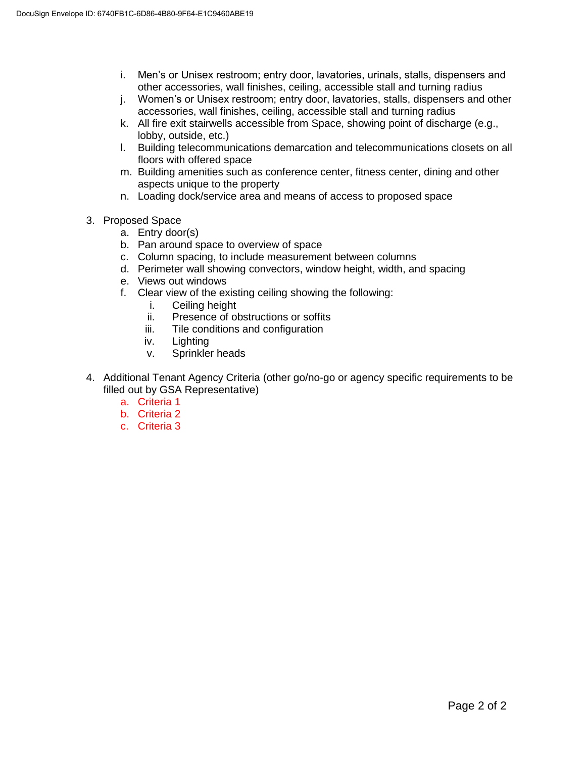- i. Men's or Unisex restroom; entry door, lavatories, urinals, stalls, dispensers and other accessories, wall finishes, ceiling, accessible stall and turning radius
- j. Women's or Unisex restroom; entry door, lavatories, stalls, dispensers and other accessories, wall finishes, ceiling, accessible stall and turning radius
- k. All fire exit stairwells accessible from Space, showing point of discharge (e.g., lobby, outside, etc.)
- l. Building telecommunications demarcation and telecommunications closets on all floors with offered space
- m. Building amenities such as conference center, fitness center, dining and other aspects unique to the property
- n. Loading dock/service area and means of access to proposed space
- 3. Proposed Space
	- a. Entry door(s)
	- b. Pan around space to overview of space
	- c. Column spacing, to include measurement between columns
	- d. Perimeter wall showing convectors, window height, width, and spacing
	- e. Views out windows
	- f. Clear view of the existing ceiling showing the following:
		- i. Ceiling height
		- ii. Presence of obstructions or soffits
		- iii. Tile conditions and configuration
		- iv. Lighting
		- v. Sprinkler heads
- 4. Additional Tenant Agency Criteria (other go/no-go or agency specific requirements to be filled out by GSA Representative)
	- a. Criteria 1
	- b. Criteria 2
	- c. Criteria 3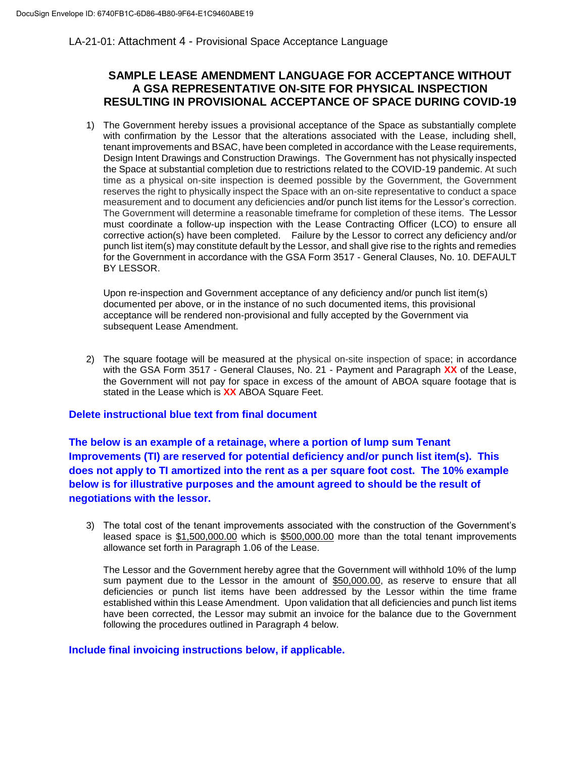### LA-21-01: Attachment 4 - Provisional Space Acceptance Language

## **SAMPLE LEASE AMENDMENT LANGUAGE FOR ACCEPTANCE WITHOUT A GSA REPRESENTATIVE ON-SITE FOR PHYSICAL INSPECTION RESULTING IN PROVISIONAL ACCEPTANCE OF SPACE DURING COVID-19**

1) The Government hereby issues a provisional acceptance of the Space as substantially complete with confirmation by the Lessor that the alterations associated with the Lease, including shell, tenant improvements and BSAC, have been completed in accordance with the Lease requirements, Design Intent Drawings and Construction Drawings. The Government has not physically inspected the Space at substantial completion due to restrictions related to the COVID-19 pandemic. At such time as a physical on-site inspection is deemed possible by the Government, the Government reserves the right to physically inspect the Space with an on-site representative to conduct a space measurement and to document any deficiencies and/or punch list items for the Lessor's correction. The Government will determine a reasonable timeframe for completion of these items. The Lessor must coordinate a follow-up inspection with the Lease Contracting Officer (LCO) to ensure all corrective action(s) have been completed. Failure by the Lessor to correct any deficiency and/or punch list item(s) may constitute default by the Lessor, and shall give rise to the rights and remedies for the Government in accordance with the GSA Form 3517 - General Clauses, No. 10. DEFAULT BY LESSOR.

Upon re-inspection and Government acceptance of any deficiency and/or punch list item(s) documented per above, or in the instance of no such documented items, this provisional acceptance will be rendered non-provisional and fully accepted by the Government via subsequent Lease Amendment.

2) The square footage will be measured at the physical on-site inspection of space; in accordance with the GSA Form 3517 - General Clauses, No. 21 - Payment and Paragraph **XX** of the Lease, the Government will not pay for space in excess of the amount of ABOA square footage that is stated in the Lease which is **XX** ABOA Square Feet.

### **Delete instructional blue text from final document**

**The below is an example of a retainage, where a portion of lump sum Tenant Improvements (TI) are reserved for potential deficiency and/or punch list item(s). This does not apply to TI amortized into the rent as a per square foot cost. The 10% example below is for illustrative purposes and the amount agreed to should be the result of negotiations with the lessor.**

3) The total cost of the tenant improvements associated with the construction of the Government's leased space is \$1,500,000.00 which is \$500,000.00 more than the total tenant improvements allowance set forth in Paragraph 1.06 of the Lease.

The Lessor and the Government hereby agree that the Government will withhold 10% of the lump sum payment due to the Lessor in the amount of \$50,000.00, as reserve to ensure that all deficiencies or punch list items have been addressed by the Lessor within the time frame established within this Lease Amendment. Upon validation that all deficiencies and punch list items have been corrected, the Lessor may submit an invoice for the balance due to the Government following the procedures outlined in Paragraph 4 below.

### **Include final invoicing instructions below, if applicable.**